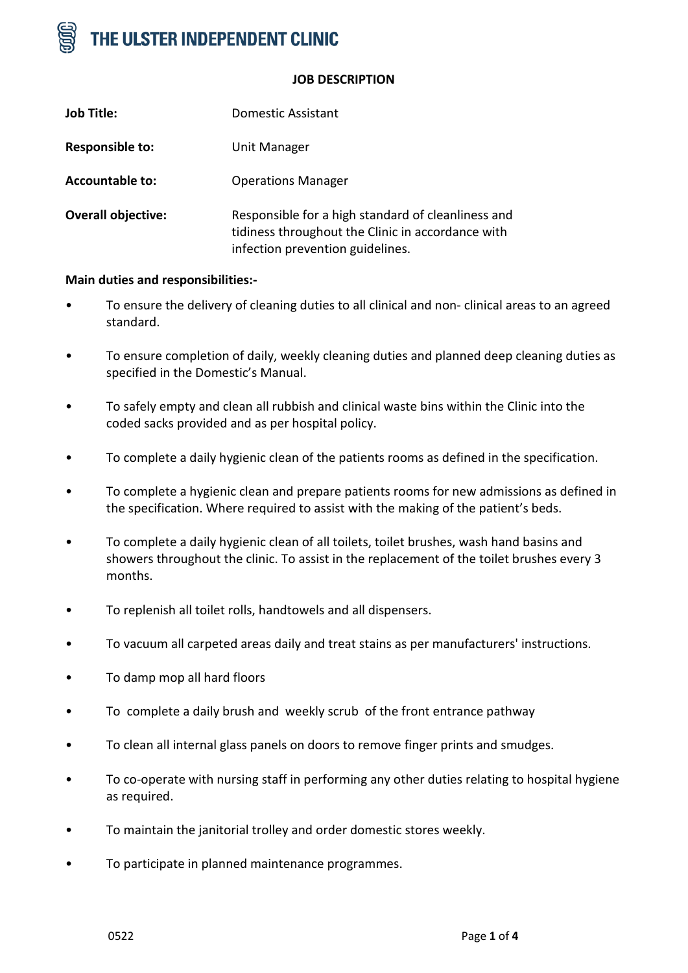

#### **JOB DESCRIPTION**

| <b>Job Title:</b>         | Domestic Assistant                                                                                                                          |
|---------------------------|---------------------------------------------------------------------------------------------------------------------------------------------|
| <b>Responsible to:</b>    | Unit Manager                                                                                                                                |
| <b>Accountable to:</b>    | <b>Operations Manager</b>                                                                                                                   |
| <b>Overall objective:</b> | Responsible for a high standard of cleanliness and<br>tidiness throughout the Clinic in accordance with<br>infection prevention guidelines. |

### **Main duties and responsibilities:-**

- To ensure the delivery of cleaning duties to all clinical and non- clinical areas to an agreed standard.
- To ensure completion of daily, weekly cleaning duties and planned deep cleaning duties as specified in the Domestic's Manual.
- To safely empty and clean all rubbish and clinical waste bins within the Clinic into the coded sacks provided and as per hospital policy.
- To complete a daily hygienic clean of the patients rooms as defined in the specification.
- To complete a hygienic clean and prepare patients rooms for new admissions as defined in the specification. Where required to assist with the making of the patient's beds.
- To complete a daily hygienic clean of all toilets, toilet brushes, wash hand basins and showers throughout the clinic. To assist in the replacement of the toilet brushes every 3 months.
- To replenish all toilet rolls, handtowels and all dispensers.
- To vacuum all carpeted areas daily and treat stains as per manufacturers' instructions.
- To damp mop all hard floors
- To complete a daily brush and weekly scrub of the front entrance pathway
- To clean all internal glass panels on doors to remove finger prints and smudges.
- To co-operate with nursing staff in performing any other duties relating to hospital hygiene as required.
- To maintain the janitorial trolley and order domestic stores weekly.
- To participate in planned maintenance programmes.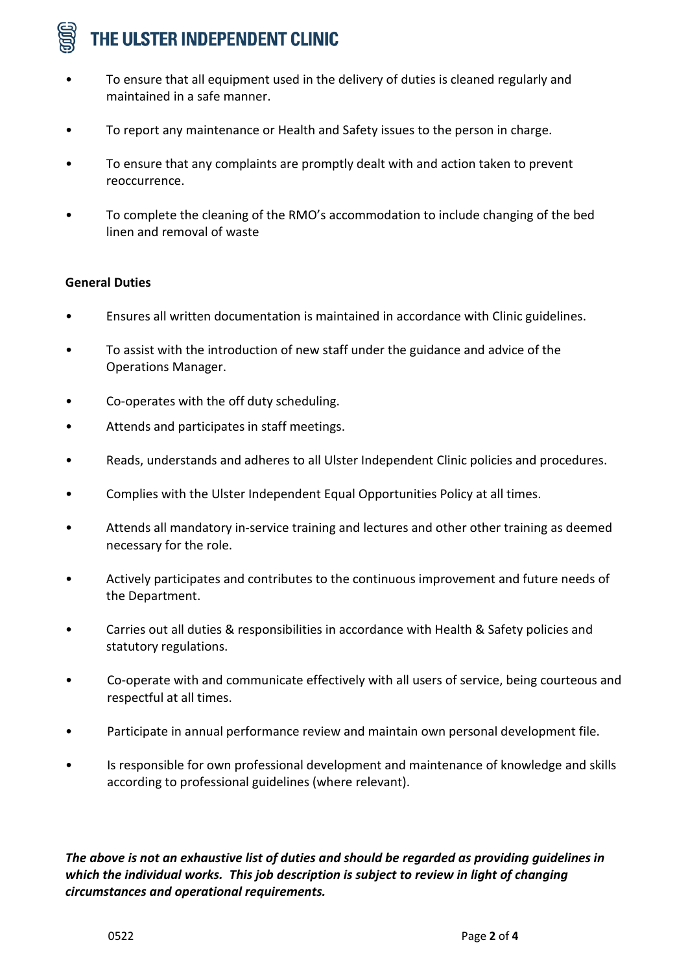# THE ULSTER INDEPENDENT CLINIC

- To ensure that all equipment used in the delivery of duties is cleaned regularly and maintained in a safe manner.
- To report any maintenance or Health and Safety issues to the person in charge.
- To ensure that any complaints are promptly dealt with and action taken to prevent reoccurrence.
- To complete the cleaning of the RMO's accommodation to include changing of the bed linen and removal of waste

# **General Duties**

- Ensures all written documentation is maintained in accordance with Clinic guidelines.
- To assist with the introduction of new staff under the guidance and advice of the Operations Manager.
- Co-operates with the off duty scheduling.
- Attends and participates in staff meetings.
- Reads, understands and adheres to all Ulster Independent Clinic policies and procedures.
- Complies with the Ulster Independent Equal Opportunities Policy at all times.
- Attends all mandatory in-service training and lectures and other other training as deemed necessary for the role.
- Actively participates and contributes to the continuous improvement and future needs of the Department.
- Carries out all duties & responsibilities in accordance with Health & Safety policies and statutory regulations.
- Co-operate with and communicate effectively with all users of service, being courteous and respectful at all times.
- Participate in annual performance review and maintain own personal development file.
- Is responsible for own professional development and maintenance of knowledge and skills according to professional guidelines (where relevant).

*The above is not an exhaustive list of duties and should be regarded as providing guidelines in which the individual works. This job description is subject to review in light of changing circumstances and operational requirements.*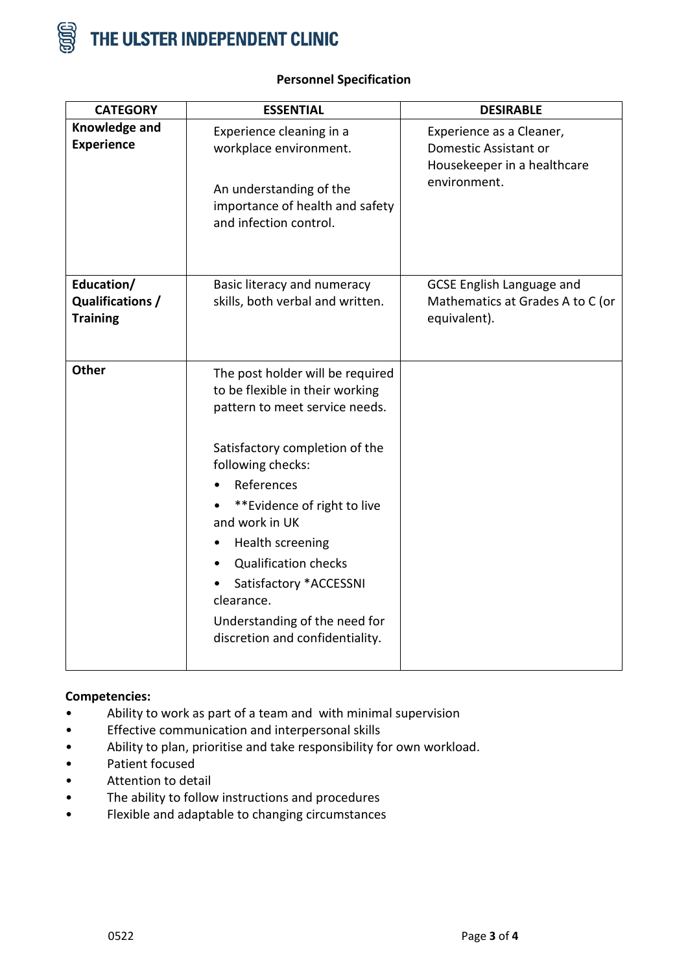

| <b>CATEGORY</b>                     | <b>ESSENTIAL</b>                                                                                                                                                                                                                                                                                                                                                                                                     | <b>DESIRABLE</b>                                                                                 |
|-------------------------------------|----------------------------------------------------------------------------------------------------------------------------------------------------------------------------------------------------------------------------------------------------------------------------------------------------------------------------------------------------------------------------------------------------------------------|--------------------------------------------------------------------------------------------------|
| Knowledge and<br><b>Experience</b>  | Experience cleaning in a<br>workplace environment.<br>An understanding of the<br>importance of health and safety<br>and infection control.                                                                                                                                                                                                                                                                           | Experience as a Cleaner,<br>Domestic Assistant or<br>Housekeeper in a healthcare<br>environment. |
| Education/                          | Basic literacy and numeracy                                                                                                                                                                                                                                                                                                                                                                                          | <b>GCSE English Language and</b>                                                                 |
| Qualifications /<br><b>Training</b> | skills, both verbal and written.                                                                                                                                                                                                                                                                                                                                                                                     | Mathematics at Grades A to C (or<br>equivalent).                                                 |
| <b>Other</b>                        | The post holder will be required<br>to be flexible in their working<br>pattern to meet service needs.<br>Satisfactory completion of the<br>following checks:<br>References<br>**Evidence of right to live<br>and work in UK<br>Health screening<br>$\bullet$<br><b>Qualification checks</b><br>$\bullet$<br>Satisfactory *ACCESSNI<br>clearance.<br>Understanding of the need for<br>discretion and confidentiality. |                                                                                                  |

# **Personnel Specification**

## **Competencies:**

- Ability to work as part of a team and with minimal supervision
- Effective communication and interpersonal skills
- Ability to plan, prioritise and take responsibility for own workload.
- Patient focused
- Attention to detail
- The ability to follow instructions and procedures
- Flexible and adaptable to changing circumstances